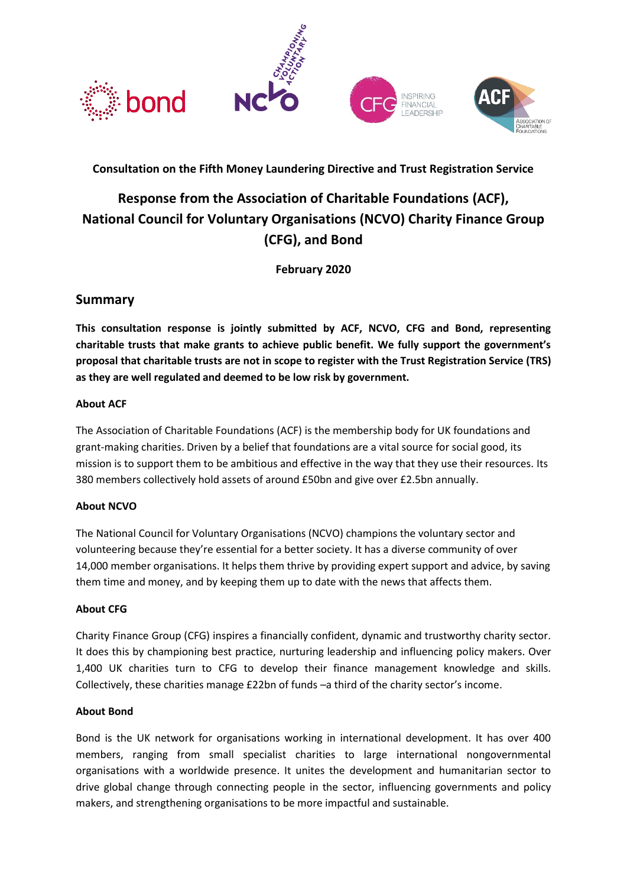

## **Consultation on the Fifth Money Laundering Directive and Trust Registration Service**

# **Response from the Association of Charitable Foundations (ACF), National Council for Voluntary Organisations (NCVO) Charity Finance Group (CFG), and Bond**

**February 2020**

## **Summary**

**This consultation response is jointly submitted by ACF, NCVO, CFG and Bond, representing charitable trusts that make grants to achieve public benefit. We fully support the government's proposal that charitable trusts are not in scope to register with the Trust Registration Service (TRS) as they are well regulated and deemed to be low risk by government.** 

### **About ACF**

The Association of Charitable Foundations (ACF) is the membership body for UK foundations and grant-making charities. Driven by a belief that foundations are a vital source for social good, its mission is to support them to be ambitious and effective in the way that they use their resources. Its 380 members collectively hold assets of around £50bn and give over £2.5bn annually.

### **About NCVO**

The National Council for Voluntary Organisations (NCVO) champions the voluntary sector and volunteering because they're essential for a better society. It has a diverse community of over 14,000 member organisations. It helps them thrive by providing expert support and advice, by saving them time and money, and by keeping them up to date with the news that affects them.

### **About CFG**

Charity Finance Group (CFG) inspires a financially confident, dynamic and trustworthy charity sector. It does this by championing best practice, nurturing leadership and influencing policy makers. Over 1,400 UK charities turn to CFG to develop their finance management knowledge and skills. Collectively, these charities manage £22bn of funds –a third of the charity sector's income.

### **About Bond**

Bond is the UK network for organisations working in international development. It has over 400 members, ranging from small specialist charities to large international nongovernmental organisations with a worldwide presence. It unites the development and humanitarian sector to drive global change through connecting people in the sector, influencing governments and policy makers, and strengthening organisations to be more impactful and sustainable.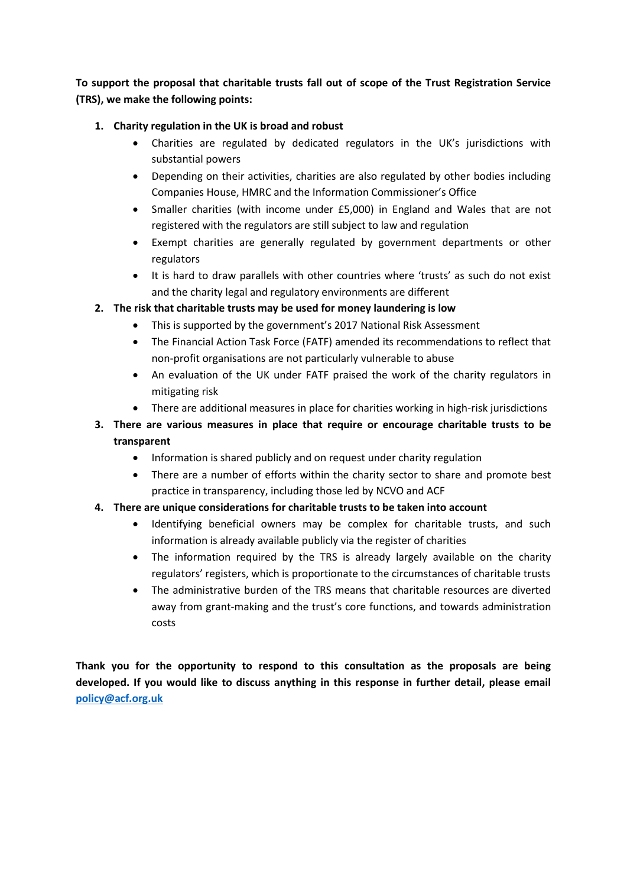**To support the proposal that charitable trusts fall out of scope of the Trust Registration Service (TRS), we make the following points:**

### **1. Charity regulation in the UK is broad and robust**

- Charities are regulated by dedicated regulators in the UK's jurisdictions with substantial powers
- Depending on their activities, charities are also regulated by other bodies including Companies House, HMRC and the Information Commissioner's Office
- Smaller charities (with income under £5,000) in England and Wales that are not registered with the regulators are still subject to law and regulation
- Exempt charities are generally regulated by government departments or other regulators
- It is hard to draw parallels with other countries where 'trusts' as such do not exist and the charity legal and regulatory environments are different

## **2. The risk that charitable trusts may be used for money laundering is low**

- This is supported by the government's 2017 National Risk Assessment
- The Financial Action Task Force (FATF) amended its recommendations to reflect that non-profit organisations are not particularly vulnerable to abuse
- An evaluation of the UK under FATF praised the work of the charity regulators in mitigating risk
- There are additional measures in place for charities working in high-risk jurisdictions
- **3. There are various measures in place that require or encourage charitable trusts to be transparent**
	- Information is shared publicly and on request under charity regulation
	- There are a number of efforts within the charity sector to share and promote best practice in transparency, including those led by NCVO and ACF

## **4. There are unique considerations for charitable trusts to be taken into account**

- Identifying beneficial owners may be complex for charitable trusts, and such information is already available publicly via the register of charities
- The information required by the TRS is already largely available on the charity regulators' registers, which is proportionate to the circumstances of charitable trusts
- The administrative burden of the TRS means that charitable resources are diverted away from grant-making and the trust's core functions, and towards administration costs

**Thank you for the opportunity to respond to this consultation as the proposals are being developed. If you would like to discuss anything in this response in further detail, please email [policy@acf.org.uk](mailto:policy@acf.org.uk)**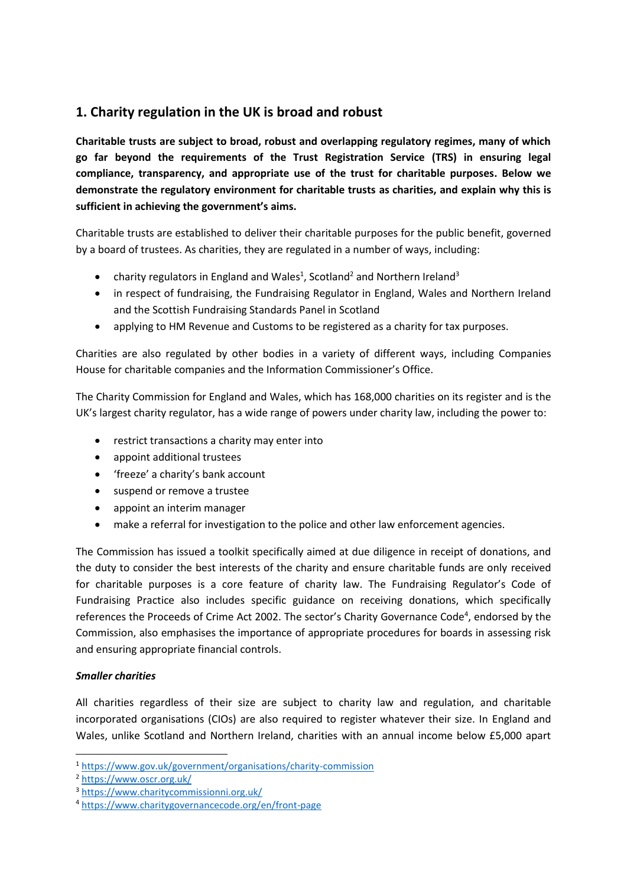## **1. Charity regulation in the UK is broad and robust**

**Charitable trusts are subject to broad, robust and overlapping regulatory regimes, many of which go far beyond the requirements of the Trust Registration Service (TRS) in ensuring legal compliance, transparency, and appropriate use of the trust for charitable purposes. Below we demonstrate the regulatory environment for charitable trusts as charities, and explain why this is sufficient in achieving the government's aims.**

Charitable trusts are established to deliver their charitable purposes for the public benefit, governed by a board of trustees. As charities, they are regulated in a number of ways, including:

- charity regulators in England and Wales<sup>1</sup>, Scotland<sup>2</sup> and Northern Ireland<sup>3</sup>
- in respect of fundraising, the Fundraising Regulator in England, Wales and Northern Ireland and the Scottish Fundraising Standards Panel in Scotland
- applying to HM Revenue and Customs to be registered as a charity for tax purposes.

Charities are also regulated by other bodies in a variety of different ways, including Companies House for charitable companies and the Information Commissioner's Office.

The Charity Commission for England and Wales, which has 168,000 charities on its register and is the UK's largest charity regulator, has a wide range of powers under charity law, including the power to:

- restrict transactions a charity may enter into
- appoint additional trustees
- 'freeze' a charity's bank account
- suspend or remove a trustee
- appoint an interim manager
- make a referral for investigation to the police and other law enforcement agencies.

The Commission has issued a toolkit specifically aimed at due diligence in receipt of donations, and the duty to consider the best interests of the charity and ensure charitable funds are only received for charitable purposes is a core feature of charity law. The Fundraising Regulator's Code of Fundraising Practice also includes specific guidance on receiving donations, which specifically references the Proceeds of Crime Act 2002. The sector's Charity Governance Code<sup>4</sup>, endorsed by the Commission, also emphasises the importance of appropriate procedures for boards in assessing risk and ensuring appropriate financial controls.

### *Smaller charities*

All charities regardless of their size are subject to charity law and regulation, and charitable incorporated organisations (CIOs) are also required to register whatever their size. In England and Wales, unlike Scotland and Northern Ireland, charities with an annual income below £5,000 apart

<sup>1</sup> <https://www.gov.uk/government/organisations/charity-commission>

<sup>2</sup> <https://www.oscr.org.uk/>

<sup>3</sup> <https://www.charitycommissionni.org.uk/>

<sup>4</sup> <https://www.charitygovernancecode.org/en/front-page>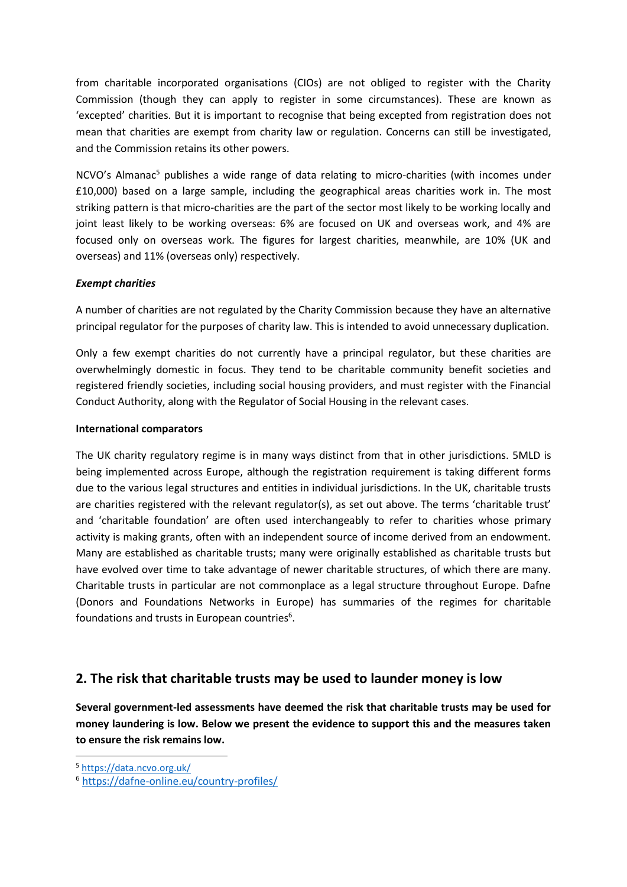from charitable incorporated organisations (CIOs) are not obliged to register with the Charity Commission (though they can apply to register in some circumstances). These are known as 'excepted' charities. But it is important to recognise that being excepted from registration does not mean that charities are exempt from charity law or regulation. Concerns can still be investigated, and the Commission retains its other powers.

NCVO's Almanac<sup>5</sup> publishes a wide range of data relating to micro-charities (with incomes under £10,000) based on a large sample, including the geographical areas charities work in. The most striking pattern is that micro-charities are the part of the sector most likely to be working locally and joint least likely to be working overseas: 6% are focused on UK and overseas work, and 4% are focused only on overseas work. The figures for largest charities, meanwhile, are 10% (UK and overseas) and 11% (overseas only) respectively.

### *Exempt charities*

A number of charities are not regulated by the Charity Commission because they have an alternative principal regulator for the purposes of charity law. This is intended to avoid unnecessary duplication.

Only a few exempt charities do not currently have a principal regulator, but these charities are overwhelmingly domestic in focus. They tend to be charitable community benefit societies and registered friendly societies, including social housing providers, and must register with the Financial Conduct Authority, along with the Regulator of Social Housing in the relevant cases.

#### **International comparators**

The UK charity regulatory regime is in many ways distinct from that in other jurisdictions. 5MLD is being implemented across Europe, although the registration requirement is taking different forms due to the various legal structures and entities in individual jurisdictions. In the UK, charitable trusts are charities registered with the relevant regulator(s), as set out above. The terms 'charitable trust' and 'charitable foundation' are often used interchangeably to refer to charities whose primary activity is making grants, often with an independent source of income derived from an endowment. Many are established as charitable trusts; many were originally established as charitable trusts but have evolved over time to take advantage of newer charitable structures, of which there are many. Charitable trusts in particular are not commonplace as a legal structure throughout Europe. Dafne (Donors and Foundations Networks in Europe) has summaries of the regimes for charitable foundations and trusts in European countries $6$ .

## **2. The risk that charitable trusts may be used to launder money is low**

**Several government-led assessments have deemed the risk that charitable trusts may be used for money laundering is low. Below we present the evidence to support this and the measures taken to ensure the risk remains low.**

<sup>5</sup> <https://data.ncvo.org.uk/>

<sup>6</sup> <https://dafne-online.eu/country-profiles/>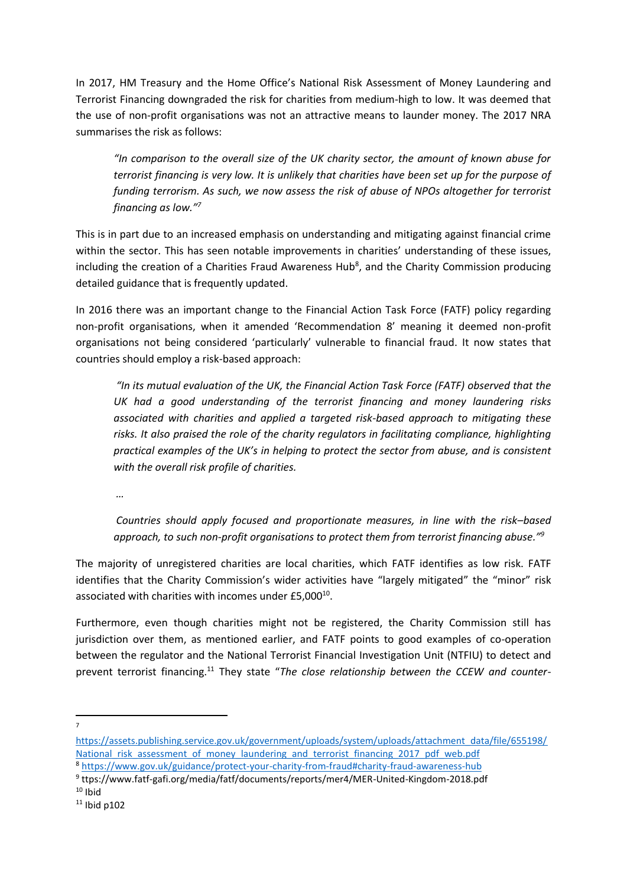In 2017, HM Treasury and the Home Office's National Risk Assessment of Money Laundering and Terrorist Financing downgraded the risk for charities from medium-high to low. It was deemed that the use of non-profit organisations was not an attractive means to launder money. The 2017 NRA summarises the risk as follows:

*"In comparison to the overall size of the UK charity sector, the amount of known abuse for terrorist financing is very low. It is unlikely that charities have been set up for the purpose of funding terrorism. As such, we now assess the risk of abuse of NPOs altogether for terrorist financing as low."<sup>7</sup>*

This is in part due to an increased emphasis on understanding and mitigating against financial crime within the sector. This has seen notable improvements in charities' understanding of these issues, including the creation of a Charities Fraud Awareness Hub<sup>8</sup>, and the Charity Commission producing detailed guidance that is frequently updated.

In 2016 there was an important change to the Financial Action Task Force (FATF) policy regarding non-profit organisations, when it amended 'Recommendation 8' meaning it deemed non-profit organisations not being considered 'particularly' vulnerable to financial fraud. It now states that countries should employ a risk-based approach:

*"In its mutual evaluation of the UK, the Financial Action Task Force (FATF) observed that the UK had a good understanding of the terrorist financing and money laundering risks associated with charities and applied a targeted risk-based approach to mitigating these risks. It also praised the role of the charity regulators in facilitating compliance, highlighting practical examples of the UK's in helping to protect the sector from abuse, and is consistent with the overall risk profile of charities.*

*…*

*Countries should apply focused and proportionate measures, in line with the risk–based approach, to such non-profit organisations to protect them from terrorist financing abuse."<sup>9</sup>*

The majority of unregistered charities are local charities, which FATF identifies as low risk. FATF identifies that the Charity Commission's wider activities have "largely mitigated" the "minor" risk associated with charities with incomes under £5,000<sup>10</sup>.

Furthermore, even though charities might not be registered, the Charity Commission still has jurisdiction over them, as mentioned earlier, and FATF points to good examples of co-operation between the regulator and the National Terrorist Financial Investigation Unit (NTFIU) to detect and prevent terrorist financing.<sup>11</sup> They state "*The close relationship between the CCEW and counter-*

7

[https://assets.publishing.service.gov.uk/government/uploads/system/uploads/attachment\\_data/file/655198/](https://assets.publishing.service.gov.uk/government/uploads/system/uploads/attachment_data/file/655198/National_risk_assessment_of_money_laundering_and_terrorist_financing_2017_pdf_web.pdf) National risk assessment of money laundering and terrorist financing 2017 pdf web.pdf <sup>8</sup> <https://www.gov.uk/guidance/protect-your-charity-from-fraud#charity-fraud-awareness-hub>

<sup>9</sup> ttps://www.fatf-gafi.org/media/fatf/documents/reports/mer4/MER-United-Kingdom-2018.pdf  $10$  Ibid

 $11$  Ibid p102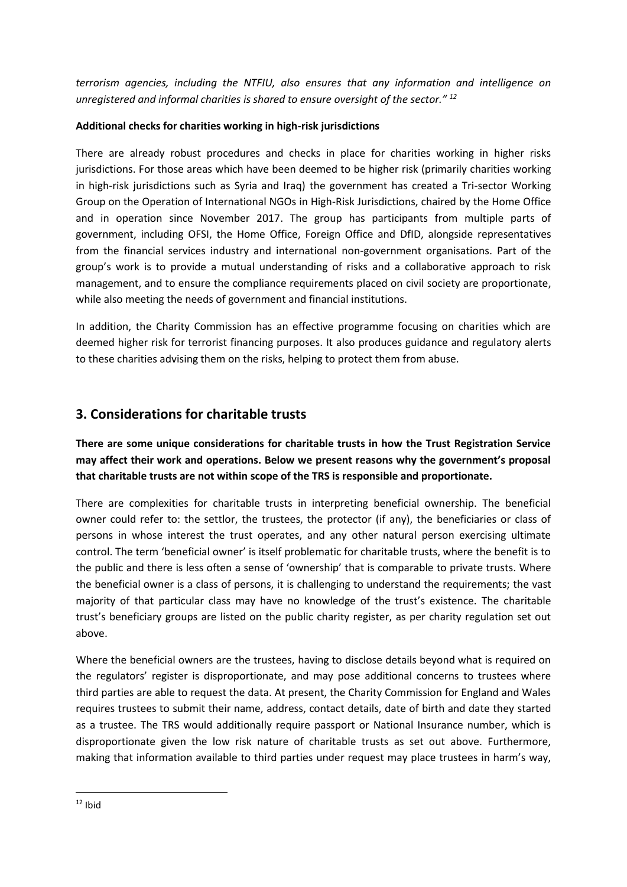*terrorism agencies, including the NTFIU, also ensures that any information and intelligence on unregistered and informal charities is shared to ensure oversight of the sector." <sup>12</sup>*

### **Additional checks for charities working in high-risk jurisdictions**

There are already robust procedures and checks in place for charities working in higher risks jurisdictions. For those areas which have been deemed to be higher risk (primarily charities working in high-risk jurisdictions such as Syria and Iraq) the government has created a Tri-sector Working Group on the Operation of International NGOs in High-Risk Jurisdictions, chaired by the Home Office and in operation since November 2017. The group has participants from multiple parts of government, including OFSI, the Home Office, Foreign Office and DfID, alongside representatives from the financial services industry and international non-government organisations. Part of the group's work is to provide a mutual understanding of risks and a collaborative approach to risk management, and to ensure the compliance requirements placed on civil society are proportionate, while also meeting the needs of government and financial institutions.

In addition, the Charity Commission has an effective programme focusing on charities which are deemed higher risk for terrorist financing purposes. It also produces guidance and regulatory alerts to these charities advising them on the risks, helping to protect them from abuse.

## **3. Considerations for charitable trusts**

## **There are some unique considerations for charitable trusts in how the Trust Registration Service may affect their work and operations. Below we present reasons why the government's proposal that charitable trusts are not within scope of the TRS is responsible and proportionate.**

There are complexities for charitable trusts in interpreting beneficial ownership. The beneficial owner could refer to: the settlor, the trustees, the protector (if any), the beneficiaries or class of persons in whose interest the trust operates, and any other natural person exercising ultimate control. The term 'beneficial owner' is itself problematic for charitable trusts, where the benefit is to the public and there is less often a sense of 'ownership' that is comparable to private trusts. Where the beneficial owner is a class of persons, it is challenging to understand the requirements; the vast majority of that particular class may have no knowledge of the trust's existence. The charitable trust's beneficiary groups are listed on the public charity register, as per charity regulation set out above.

Where the beneficial owners are the trustees, having to disclose details beyond what is required on the regulators' register is disproportionate, and may pose additional concerns to trustees where third parties are able to request the data. At present, the Charity Commission for England and Wales requires trustees to submit their name, address, contact details, date of birth and date they started as a trustee. The TRS would additionally require passport or National Insurance number, which is disproportionate given the low risk nature of charitable trusts as set out above. Furthermore, making that information available to third parties under request may place trustees in harm's way,

 $12$  Ibid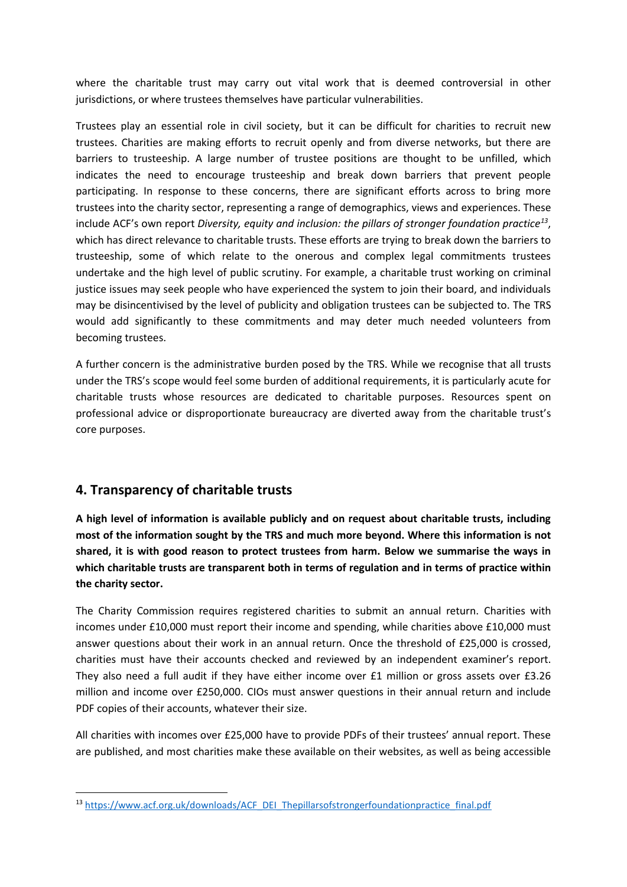where the charitable trust may carry out vital work that is deemed controversial in other jurisdictions, or where trustees themselves have particular vulnerabilities.

Trustees play an essential role in civil society, but it can be difficult for charities to recruit new trustees. Charities are making efforts to recruit openly and from diverse networks, but there are barriers to trusteeship. A large number of trustee positions are thought to be unfilled, which indicates the need to encourage trusteeship and break down barriers that prevent people participating. In response to these concerns, there are significant efforts across to bring more trustees into the charity sector, representing a range of demographics, views and experiences. These include ACF's own report *Diversity, equity and inclusion: the pillars of stronger foundation practice<sup>13</sup>* , which has direct relevance to charitable trusts. These efforts are trying to break down the barriers to trusteeship, some of which relate to the onerous and complex legal commitments trustees undertake and the high level of public scrutiny. For example, a charitable trust working on criminal justice issues may seek people who have experienced the system to join their board, and individuals may be disincentivised by the level of publicity and obligation trustees can be subjected to. The TRS would add significantly to these commitments and may deter much needed volunteers from becoming trustees.

A further concern is the administrative burden posed by the TRS. While we recognise that all trusts under the TRS's scope would feel some burden of additional requirements, it is particularly acute for charitable trusts whose resources are dedicated to charitable purposes. Resources spent on professional advice or disproportionate bureaucracy are diverted away from the charitable trust's core purposes.

## **4. Transparency of charitable trusts**

**A high level of information is available publicly and on request about charitable trusts, including most of the information sought by the TRS and much more beyond. Where this information is not shared, it is with good reason to protect trustees from harm. Below we summarise the ways in which charitable trusts are transparent both in terms of regulation and in terms of practice within the charity sector.**

The Charity Commission requires registered charities to submit an annual return. Charities with incomes under £10,000 must report their income and spending, while charities above £10,000 must answer questions about their work in an annual return. Once the threshold of £25,000 is crossed, charities must have their accounts checked and reviewed by an independent examiner's report. They also need a full audit if they have either income over £1 million or gross assets over £3.26 million and income over £250,000. CIOs must answer questions in their annual return and include PDF copies of their accounts, whatever their size.

All charities with incomes over £25,000 have to provide PDFs of their trustees' annual report. These are published, and most charities make these available on their websites, as well as being accessible

<sup>13</sup> [https://www.acf.org.uk/downloads/ACF\\_DEI\\_Thepillarsofstrongerfoundationpractice\\_final.pdf](https://www.acf.org.uk/downloads/ACF_DEI_Thepillarsofstrongerfoundationpractice_final.pdf)